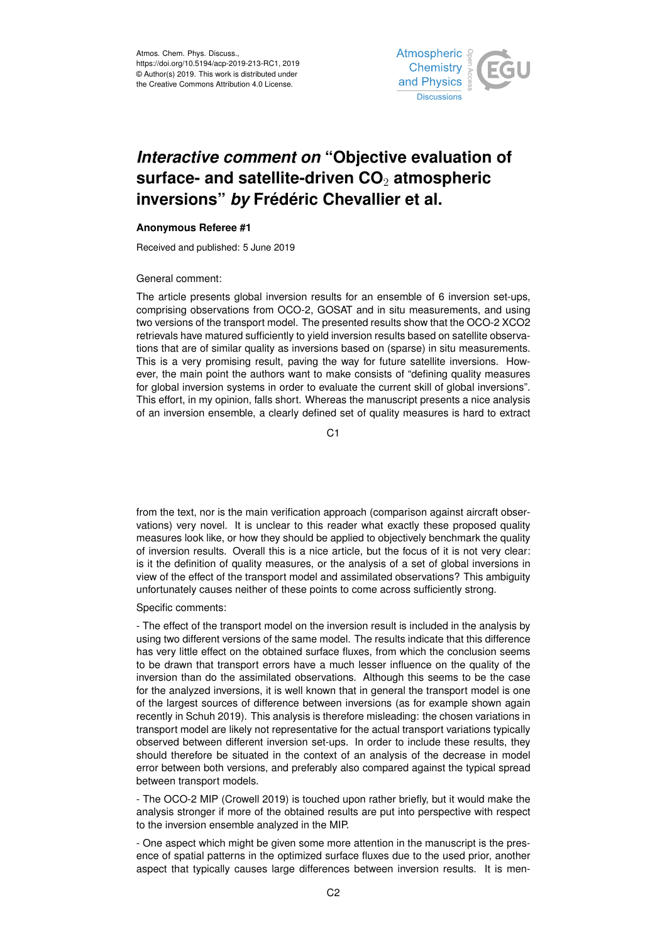

## *Interactive comment on* **"Objective evaluation of surface- and satellite-driven CO**<sup>2</sup> **atmospheric inversions"** *by* **Frédéric Chevallier et al.**

## **Anonymous Referee #1**

Received and published: 5 June 2019

## General comment:

The article presents global inversion results for an ensemble of 6 inversion set-ups, comprising observations from OCO-2, GOSAT and in situ measurements, and using two versions of the transport model. The presented results show that the OCO-2 XCO2 retrievals have matured sufficiently to yield inversion results based on satellite observations that are of similar quality as inversions based on (sparse) in situ measurements. This is a very promising result, paving the way for future satellite inversions. However, the main point the authors want to make consists of "defining quality measures for global inversion systems in order to evaluate the current skill of global inversions". This effort, in my opinion, falls short. Whereas the manuscript presents a nice analysis of an inversion ensemble, a clearly defined set of quality measures is hard to extract

C1

from the text, nor is the main verification approach (comparison against aircraft observations) very novel. It is unclear to this reader what exactly these proposed quality measures look like, or how they should be applied to objectively benchmark the quality of inversion results. Overall this is a nice article, but the focus of it is not very clear: is it the definition of quality measures, or the analysis of a set of global inversions in view of the effect of the transport model and assimilated observations? This ambiguity unfortunately causes neither of these points to come across sufficiently strong.

## Specific comments:

- The effect of the transport model on the inversion result is included in the analysis by using two different versions of the same model. The results indicate that this difference has very little effect on the obtained surface fluxes, from which the conclusion seems to be drawn that transport errors have a much lesser influence on the quality of the inversion than do the assimilated observations. Although this seems to be the case for the analyzed inversions, it is well known that in general the transport model is one of the largest sources of difference between inversions (as for example shown again recently in Schuh 2019). This analysis is therefore misleading: the chosen variations in transport model are likely not representative for the actual transport variations typically observed between different inversion set-ups. In order to include these results, they should therefore be situated in the context of an analysis of the decrease in model error between both versions, and preferably also compared against the typical spread between transport models.

- The OCO-2 MIP (Crowell 2019) is touched upon rather briefly, but it would make the analysis stronger if more of the obtained results are put into perspective with respect to the inversion ensemble analyzed in the MIP.

- One aspect which might be given some more attention in the manuscript is the presence of spatial patterns in the optimized surface fluxes due to the used prior, another aspect that typically causes large differences between inversion results. It is men